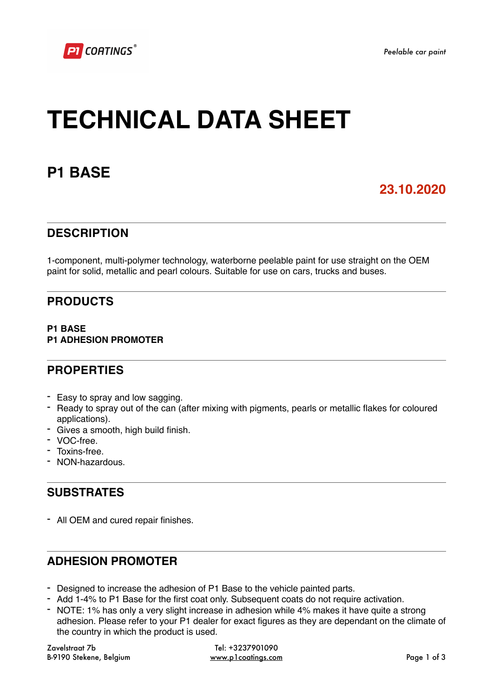# **TECHNICAL DATA SHEET**

## **P1 BASE**

## **23.10.2020**

## **DESCRIPTION**

1-component, multi-polymer technology, waterborne peelable paint for use straight on the OEM paint for solid, metallic and pearl colours. Suitable for use on cars, trucks and buses.

## **PRODUCTS**

#### **P1 BASE P1 ADHESION PROMOTER**

## **PROPERTIES**

- Easy to spray and low sagging.
- Ready to spray out of the can (after mixing with pigments, pearls or metallic flakes for coloured applications).
- Gives a smooth, high build finish.
- VOC-free.
- Toxins-free.
- NON-hazardous.

## **SUBSTRATES**

- All OEM and cured repair finishes.

## **ADHESION PROMOTER**

- Designed to increase the adhesion of P1 Base to the vehicle painted parts.
- Add 1-4% to P1 Base for the first coat only. Subsequent coats do not require activation.
- NOTE: 1% has only a very slight increase in adhesion while 4% makes it have quite a strong adhesion. Please refer to your P1 dealer for exact figures as they are dependant on the climate of the country in which the product is used.

Zavelstraat 7b B-9190 Stekene, Belgium

Tel: +3237901090 [www.p1coatings.com](http://www.p1coatings.com) Page 1 of 3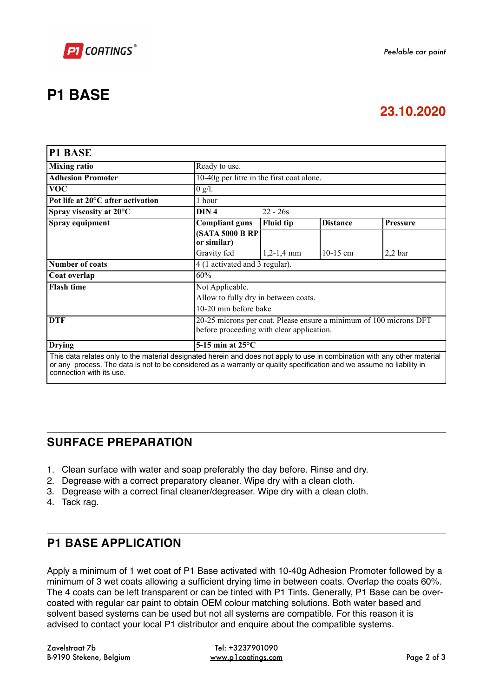

# **P1 BASE**

## **23.10.2020**

| <b>P1 BASE</b>                                                                                                                                                                                                                                                                 |                                                                                                                 |                  |                 |                    |
|--------------------------------------------------------------------------------------------------------------------------------------------------------------------------------------------------------------------------------------------------------------------------------|-----------------------------------------------------------------------------------------------------------------|------------------|-----------------|--------------------|
| <b>Mixing ratio</b>                                                                                                                                                                                                                                                            | Ready to use.                                                                                                   |                  |                 |                    |
| <b>Adhesion Promoter</b>                                                                                                                                                                                                                                                       | 10-40g per litre in the first coat alone.                                                                       |                  |                 |                    |
| <b>VOC</b>                                                                                                                                                                                                                                                                     | $0$ g/l.                                                                                                        |                  |                 |                    |
| Pot life at 20°C after activation                                                                                                                                                                                                                                              | 1 hour                                                                                                          |                  |                 |                    |
| Spray viscosity at 20°C                                                                                                                                                                                                                                                        | DIN <sub>4</sub><br>$22 - 26s$                                                                                  |                  |                 |                    |
| Spray equipment                                                                                                                                                                                                                                                                | <b>Compliant guns</b>                                                                                           | <b>Fluid tip</b> | <b>Distance</b> | <b>Pressure</b>    |
|                                                                                                                                                                                                                                                                                | <b>(SATA 5000 B RP)</b><br>or similar)                                                                          |                  |                 |                    |
|                                                                                                                                                                                                                                                                                | Gravity fed                                                                                                     | $1,2-1,4$ mm     | 10-15 cm        | 2.2 <sub>bar</sub> |
| <b>Number of coats</b>                                                                                                                                                                                                                                                         | 4 (1 activated and 3 regular).                                                                                  |                  |                 |                    |
| Coat overlap                                                                                                                                                                                                                                                                   | 60%                                                                                                             |                  |                 |                    |
| <b>Flash time</b>                                                                                                                                                                                                                                                              | Not Applicable.                                                                                                 |                  |                 |                    |
|                                                                                                                                                                                                                                                                                | Allow to fully dry in between coats.                                                                            |                  |                 |                    |
|                                                                                                                                                                                                                                                                                | 10-20 min before bake                                                                                           |                  |                 |                    |
| <b>DTF</b>                                                                                                                                                                                                                                                                     | 20-25 microns per coat. Please ensure a minimum of 100 microns DFT<br>before proceeding with clear application. |                  |                 |                    |
| <b>Drying</b>                                                                                                                                                                                                                                                                  | 5-15 min at $25^{\circ}$ C                                                                                      |                  |                 |                    |
| This data relates only to the material designated herein and does not apply to use in combination with any other material<br>or any process. The data is not to be considered as a warranty or quality specification and we assume no liability in<br>connection with its use. |                                                                                                                 |                  |                 |                    |

## **SURFACE PREPARATION**

- 1. Clean surface with water and soap preferably the day before. Rinse and dry.
- 2. Degrease with a correct preparatory cleaner. Wipe dry with a clean cloth.
- 3. Degrease with a correct final cleaner/degreaser. Wipe dry with a clean cloth.
- 4. Tack rag.

## **P1 BASE APPLICATION**

Apply a minimum of 1 wet coat of P1 Base activated with 10-40g Adhesion Promoter followed by a minimum of 3 wet coats allowing a sufficient drying time in between coats. Overlap the coats 60%. The 4 coats can be left transparent or can be tinted with P1 Tints. Generally, P1 Base can be overcoated with regular car paint to obtain OEM colour matching solutions. Both water based and solvent based systems can be used but not all systems are compatible. For this reason it is advised to contact your local P1 distributor and enquire about the compatible systems.

Zavelstraat 7b B-9190 Stekene, Belgium

Tel: +3237901090 [www.p1coatings.com](http://www.p1coatings.com) Page 2 of 3